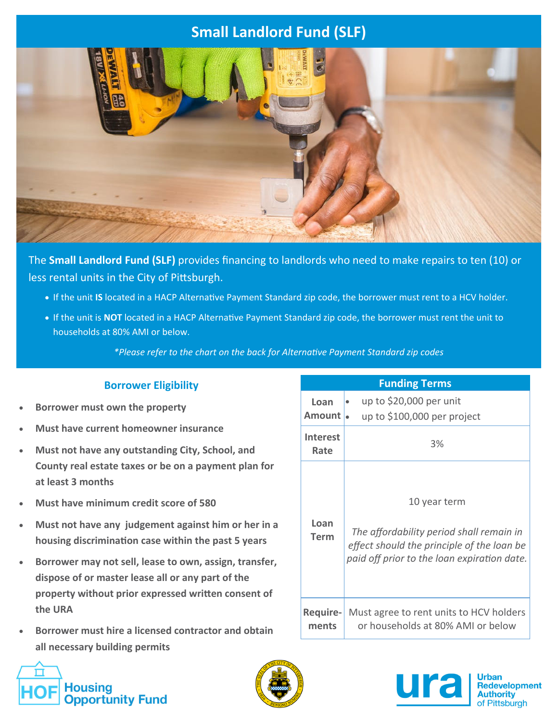# **Small Landlord Fund (SLF)**



The **Small Landlord Fund (SLF)** provides financing to landlords who need to make repairs to ten (10) or less rental units in the City of Pittsburgh.

- If the unit IS located in a HACP Alternative Payment Standard zip code, the borrower must rent to a HCV holder.
- If the unit is **NOT** located in a HACP Alternative Payment Standard zip code, the borrower must rent the unit to households at 80% AMI or below.

*\*Please refer to the chart on the back for AlternaƟve Payment Standard zip codes*

## **Borrower Eligibility**

- **Borrower must own the property**
- **Must have current homeowner insurance**
- **Must not have any outstanding City, School, and County real estate taxes or be on a payment plan for at least 3 months**
- **Must have minimum credit score of 580**
- **Must not have any judgement against him or her in a housing discriminaƟon case within the past 5 years**
- **Borrower may not sell, lease to own, assign, transfer, dispose of or master lease all or any part of the property without prior expressed wriƩen consent of the URA**
- **Borrower must hire a licensed contractor and obtain all necessary building permits**





| LUILUILE LELIID          |                                                                                                                                                       |  |
|--------------------------|-------------------------------------------------------------------------------------------------------------------------------------------------------|--|
| Loan<br>Amount           | up to \$20,000 per unit<br>up to \$100,000 per project                                                                                                |  |
| <b>Interest</b><br>Rate  | 3%                                                                                                                                                    |  |
| Loan<br>Term             | 10 year term<br>The affordability period shall remain in<br>effect should the principle of the loan be<br>paid off prior to the loan expiration date. |  |
| <b>Require-</b><br>ments | Must agree to rent units to HCV holders<br>or households at 80% AMI or below                                                                          |  |

**Funding Terms**